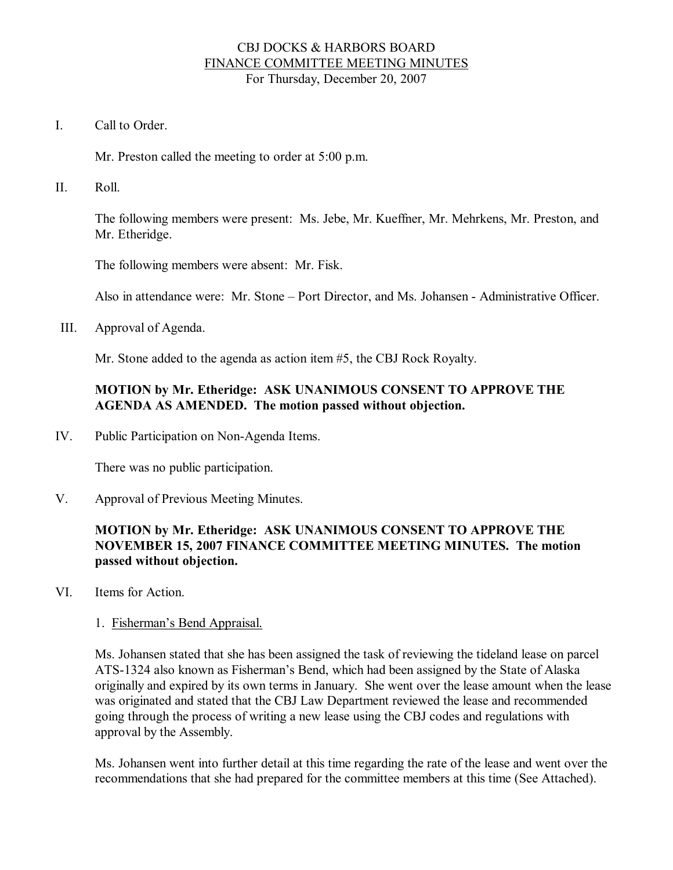### CBJ DOCKS & HARBORS BOARD FINANCE COMMITTEE MEETING MINUTES For Thursday, December 20, 2007

I. Call to Order

Mr. Preston called the meeting to order at 5:00 p.m.

II. Roll.

The following members were present: Ms. Jebe, Mr. Kueffner, Mr. Mehrkens, Mr. Preston, and Mr. Etheridge.

The following members were absent: Mr. Fisk.

Also in attendance were: Mr. Stone – Port Director, and Ms. Johansen - Administrative Officer.

III. Approval of Agenda.

Mr. Stone added to the agenda as action item #5, the CBJ Rock Royalty.

# **MOTION by Mr. Etheridge: ASK UNANIMOUS CONSENT TO APPROVE THE AGENDA AS AMENDED. The motion passed without objection.**

IV. Public Participation on Non-Agenda Items.

There was no public participation.

V. Approval of Previous Meeting Minutes.

# **MOTION by Mr. Etheridge: ASK UNANIMOUS CONSENT TO APPROVE THE NOVEMBER 15, 2007 FINANCE COMMITTEE MEETING MINUTES. The motion passed without objection.**

VI. Items for Action.

#### 1. Fisherman's Bend Appraisal.

Ms. Johansen stated that she has been assigned the task of reviewing the tideland lease on parcel ATS1324 also known as Fisherman's Bend, which had been assigned by the State of Alaska originally and expired by its own terms in January. She went over the lease amount when the lease was originated and stated that the CBJ Law Department reviewed the lease and recommended going through the process of writing a new lease using the CBJ codes and regulations with approval by the Assembly.

Ms. Johansen went into further detail at this time regarding the rate of the lease and went over the recommendations that she had prepared for the committee members at this time (See Attached).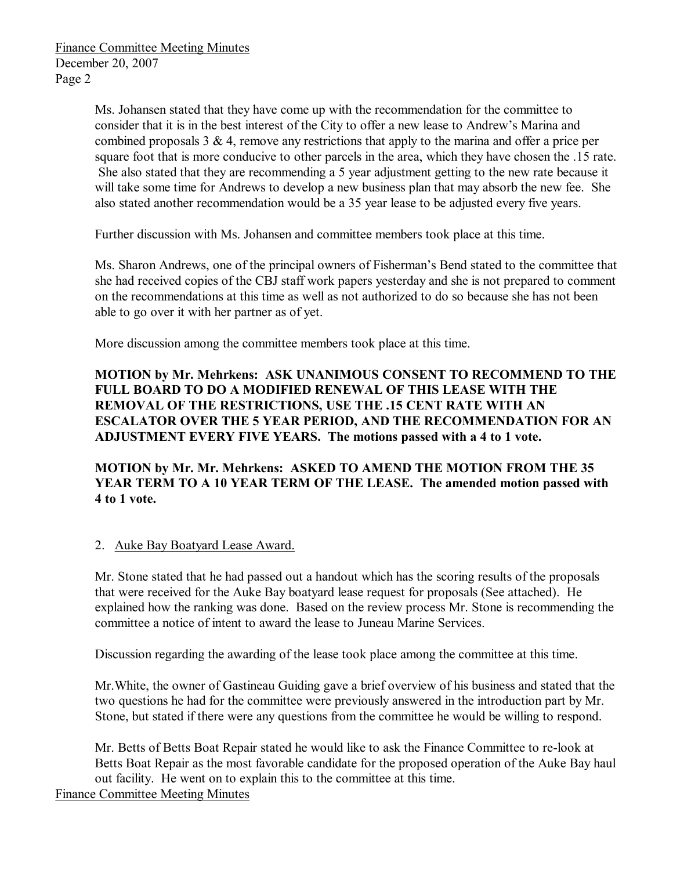Ms. Johansen stated that they have come up with the recommendation for the committee to consider that it is in the best interest of the City to offer a new lease to Andrew's Marina and combined proposals  $3 \& 4$ , remove any restrictions that apply to the marina and offer a price per square foot that is more conducive to other parcels in the area, which they have chosen the .15 rate. She also stated that they are recommending a 5 year adjustment getting to the new rate because it will take some time for Andrews to develop a new business plan that may absorb the new fee. She also stated another recommendation would be a 35 year lease to be adjusted every five years.

Further discussion with Ms. Johansen and committee members took place at this time.

Ms. Sharon Andrews, one of the principal owners of Fisherman's Bend stated to the committee that she had received copies of the CBJ staff work papers yesterday and she is not prepared to comment on the recommendations at this time as well as not authorized to do so because she has not been able to go over it with her partner as of yet.

More discussion among the committee members took place at this time.

**MOTION by Mr. Mehrkens: ASK UNANIMOUS CONSENT TO RECOMMEND TO THE FULL BOARD TO DO A MODIFIED RENEWAL OF THIS LEASE WITH THE REMOVAL OF THE RESTRICTIONS, USE THE .15 CENT RATE WITH AN ESCALATOR OVER THE 5 YEAR PERIOD, AND THE RECOMMENDATION FOR AN ADJUSTMENT EVERY FIVE YEARS. The motions passed with a 4 to 1 vote.**

**MOTION by Mr. Mr. Mehrkens: ASKED TO AMEND THE MOTION FROM THE 35 YEAR TERM TO A 10 YEAR TERM OF THE LEASE. The amended motion passed with 4 to 1 vote.**

2. Auke Bay Boatyard Lease Award.

Mr. Stone stated that he had passed out a handout which has the scoring results of the proposals that were received for the Auke Bay boatyard lease request for proposals (See attached). He explained how the ranking was done. Based on the review process Mr. Stone is recommending the committee a notice of intent to award the lease to Juneau Marine Services.

Discussion regarding the awarding of the lease took place among the committee at this time.

Mr.White, the owner of Gastineau Guiding gave a brief overview of his business and stated that the two questions he had for the committee were previously answered in the introduction part by Mr. Stone, but stated if there were any questions from the committee he would be willing to respond.

Mr. Betts of Betts Boat Repair stated he would like to ask the Finance Committee to relook at Betts Boat Repair as the most favorable candidate for the proposed operation of the Auke Bay haul out facility. He went on to explain this to the committee at this time.

Finance Committee Meeting Minutes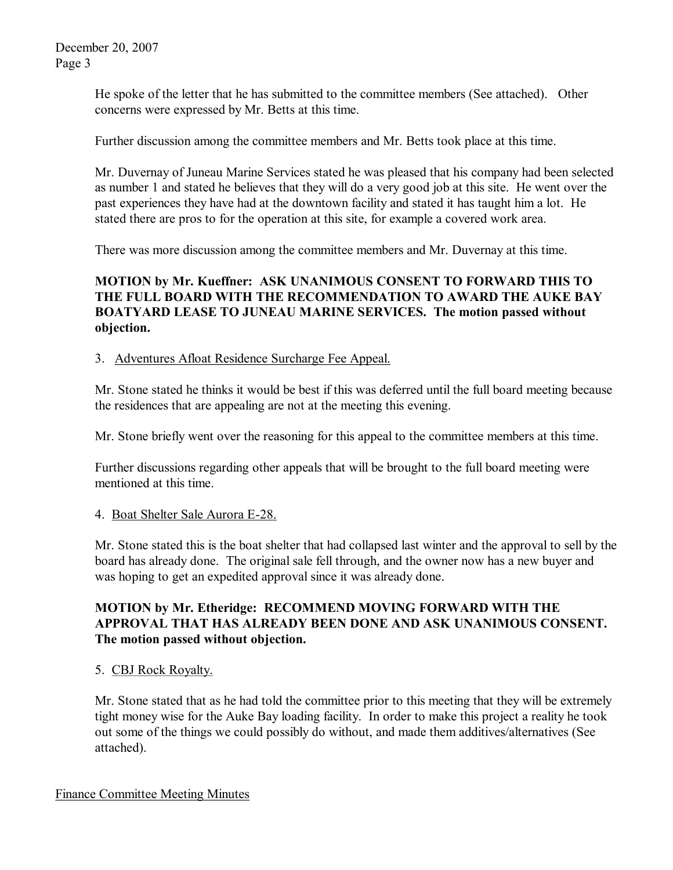He spoke of the letter that he has submitted to the committee members (See attached). Other concerns were expressed by Mr. Betts at this time.

Further discussion among the committee members and Mr. Betts took place at this time.

Mr. Duvernay of Juneau Marine Services stated he was pleased that his company had been selected as number 1 and stated he believes that they will do a very good job at this site. He went over the past experiences they have had at the downtown facility and stated it has taught him a lot. He stated there are pros to for the operation at this site, for example a covered work area.

There was more discussion among the committee members and Mr. Duvernay at this time.

# **MOTION by Mr. Kueffner: ASK UNANIMOUS CONSENT TO FORWARD THIS TO THE FULL BOARD WITH THE RECOMMENDATION TO AWARD THE AUKE BAY BOATYARD LEASE TO JUNEAU MARINE SERVICES. The motion passed without objection.**

### 3. Adventures Afloat Residence Surcharge Fee Appeal.

Mr. Stone stated he thinks it would be best if this was deferred until the full board meeting because the residences that are appealing are not at the meeting this evening.

Mr. Stone briefly went over the reasoning for this appeal to the committee members at this time.

Further discussions regarding other appeals that will be brought to the full board meeting were mentioned at this time.

### 4. Boat Shelter Sale Aurora E28.

Mr. Stone stated this is the boat shelter that had collapsed last winter and the approval to sell by the board has already done. The original sale fell through, and the owner now has a new buyer and was hoping to get an expedited approval since it was already done.

# **MOTION by Mr. Etheridge: RECOMMEND MOVING FORWARD WITH THE APPROVAL THAT HAS ALREADY BEEN DONE AND ASK UNANIMOUS CONSENT. The motion passed without objection.**

### 5. CBJ Rock Royalty.

Mr. Stone stated that as he had told the committee prior to this meeting that they will be extremely tight money wise for the Auke Bay loading facility. In order to make this project a reality he took out some of the things we could possibly do without, and made them additives/alternatives (See attached).

#### Finance Committee Meeting Minutes